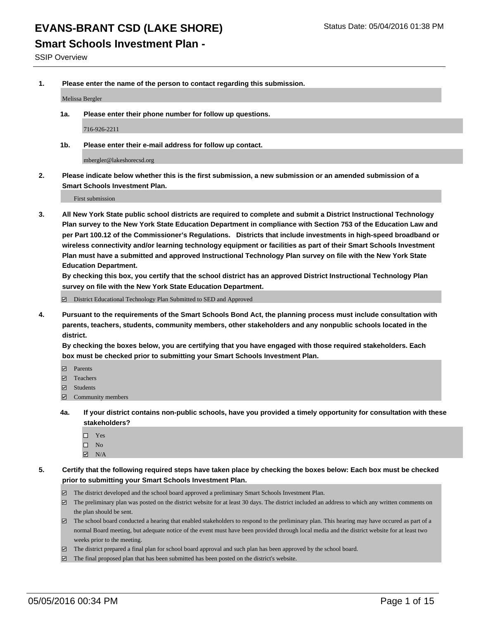#### **Smart Schools Investment Plan -**

SSIP Overview

**1. Please enter the name of the person to contact regarding this submission.**

Melissa Bergler

**1a. Please enter their phone number for follow up questions.**

716-926-2211

**1b. Please enter their e-mail address for follow up contact.**

mbergler@lakeshorecsd.org

**2. Please indicate below whether this is the first submission, a new submission or an amended submission of a Smart Schools Investment Plan.**

First submission

**3. All New York State public school districts are required to complete and submit a District Instructional Technology Plan survey to the New York State Education Department in compliance with Section 753 of the Education Law and per Part 100.12 of the Commissioner's Regulations. Districts that include investments in high-speed broadband or wireless connectivity and/or learning technology equipment or facilities as part of their Smart Schools Investment Plan must have a submitted and approved Instructional Technology Plan survey on file with the New York State Education Department.** 

**By checking this box, you certify that the school district has an approved District Instructional Technology Plan survey on file with the New York State Education Department.**

District Educational Technology Plan Submitted to SED and Approved

**4. Pursuant to the requirements of the Smart Schools Bond Act, the planning process must include consultation with parents, teachers, students, community members, other stakeholders and any nonpublic schools located in the district.** 

**By checking the boxes below, you are certifying that you have engaged with those required stakeholders. Each box must be checked prior to submitting your Smart Schools Investment Plan.**

- **Parents**
- □ Teachers
- Students
- $\boxdot$  Community members
- **4a. If your district contains non-public schools, have you provided a timely opportunity for consultation with these stakeholders?**
	- □ Yes
	- $\square$  No
	- $\boxtimes$  N/A
- **5. Certify that the following required steps have taken place by checking the boxes below: Each box must be checked prior to submitting your Smart Schools Investment Plan.**
	- The district developed and the school board approved a preliminary Smart Schools Investment Plan.
	- The preliminary plan was posted on the district website for at least 30 days. The district included an address to which any written comments on the plan should be sent.
	- $\Box$  The school board conducted a hearing that enabled stakeholders to respond to the preliminary plan. This hearing may have occured as part of a normal Board meeting, but adequate notice of the event must have been provided through local media and the district website for at least two weeks prior to the meeting.
	- The district prepared a final plan for school board approval and such plan has been approved by the school board.
	- The final proposed plan that has been submitted has been posted on the district's website.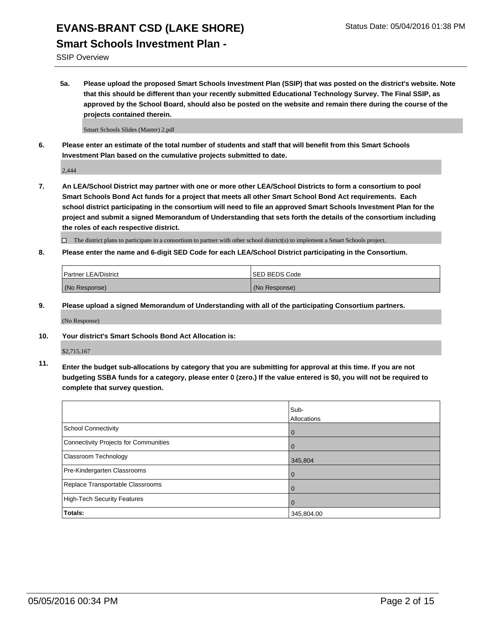#### **Smart Schools Investment Plan -**

SSIP Overview

**5a. Please upload the proposed Smart Schools Investment Plan (SSIP) that was posted on the district's website. Note that this should be different than your recently submitted Educational Technology Survey. The Final SSIP, as approved by the School Board, should also be posted on the website and remain there during the course of the projects contained therein.**

Smart Schools Slides (Master) 2.pdf

**6. Please enter an estimate of the total number of students and staff that will benefit from this Smart Schools Investment Plan based on the cumulative projects submitted to date.**

2,444

**7. An LEA/School District may partner with one or more other LEA/School Districts to form a consortium to pool Smart Schools Bond Act funds for a project that meets all other Smart School Bond Act requirements. Each school district participating in the consortium will need to file an approved Smart Schools Investment Plan for the project and submit a signed Memorandum of Understanding that sets forth the details of the consortium including the roles of each respective district.**

 $\Box$  The district plans to participate in a consortium to partner with other school district(s) to implement a Smart Schools project.

**8. Please enter the name and 6-digit SED Code for each LEA/School District participating in the Consortium.**

| <b>Partner LEA/District</b> | <b>ISED BEDS Code</b> |
|-----------------------------|-----------------------|
| (No Response)               | (No Response)         |

**9. Please upload a signed Memorandum of Understanding with all of the participating Consortium partners.**

(No Response)

**10. Your district's Smart Schools Bond Act Allocation is:**

\$2,715,167

**11. Enter the budget sub-allocations by category that you are submitting for approval at this time. If you are not budgeting SSBA funds for a category, please enter 0 (zero.) If the value entered is \$0, you will not be required to complete that survey question.**

|                                       | Sub-<br>Allocations |
|---------------------------------------|---------------------|
| <b>School Connectivity</b>            | 0                   |
| Connectivity Projects for Communities |                     |
| Classroom Technology                  | 345,804             |
| Pre-Kindergarten Classrooms           | $\Omega$            |
| Replace Transportable Classrooms      | 0                   |
| High-Tech Security Features           | $\Omega$            |
| <b>Totals:</b>                        | 345,804.00          |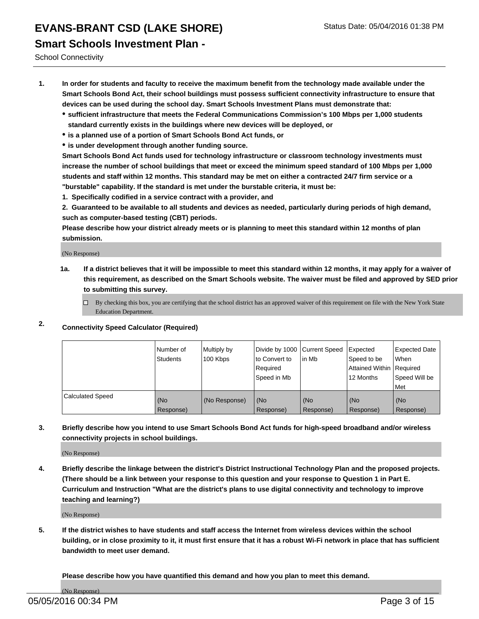### **EVANS-BRANT CSD (LAKE SHORE)** Status Date: 05/04/2016 01:38 PM **Smart Schools Investment Plan -**

School Connectivity

- **1. In order for students and faculty to receive the maximum benefit from the technology made available under the Smart Schools Bond Act, their school buildings must possess sufficient connectivity infrastructure to ensure that devices can be used during the school day. Smart Schools Investment Plans must demonstrate that:**
	- **sufficient infrastructure that meets the Federal Communications Commission's 100 Mbps per 1,000 students standard currently exists in the buildings where new devices will be deployed, or**
	- **is a planned use of a portion of Smart Schools Bond Act funds, or**
	- **is under development through another funding source.**

**Smart Schools Bond Act funds used for technology infrastructure or classroom technology investments must increase the number of school buildings that meet or exceed the minimum speed standard of 100 Mbps per 1,000 students and staff within 12 months. This standard may be met on either a contracted 24/7 firm service or a "burstable" capability. If the standard is met under the burstable criteria, it must be:**

**1. Specifically codified in a service contract with a provider, and**

**2. Guaranteed to be available to all students and devices as needed, particularly during periods of high demand, such as computer-based testing (CBT) periods.**

**Please describe how your district already meets or is planning to meet this standard within 12 months of plan submission.**

(No Response)

- **1a. If a district believes that it will be impossible to meet this standard within 12 months, it may apply for a waiver of this requirement, as described on the Smart Schools website. The waiver must be filed and approved by SED prior to submitting this survey.**
	- By checking this box, you are certifying that the school district has an approved waiver of this requirement on file with the New York State Education Department.
- **2. Connectivity Speed Calculator (Required)**

|                         | Number of<br>Students | Multiply by<br>100 Kbps | Divide by 1000 Current Speed<br>to Convert to<br>Reauired<br>Speed in Mb | lin Mb             | Expected<br>Speed to be<br>Attained Within   Required<br>12 Months | <b>Expected Date</b><br>l When<br>Speed Will be<br>l Met |
|-------------------------|-----------------------|-------------------------|--------------------------------------------------------------------------|--------------------|--------------------------------------------------------------------|----------------------------------------------------------|
| <b>Calculated Speed</b> | (No<br>Response)      | (No Response)           | (No<br>Response)                                                         | l (No<br>Response) | (No<br>Response)                                                   | l (No<br>Response)                                       |

#### **3. Briefly describe how you intend to use Smart Schools Bond Act funds for high-speed broadband and/or wireless connectivity projects in school buildings.**

(No Response)

**4. Briefly describe the linkage between the district's District Instructional Technology Plan and the proposed projects. (There should be a link between your response to this question and your response to Question 1 in Part E. Curriculum and Instruction "What are the district's plans to use digital connectivity and technology to improve teaching and learning?)**

(No Response)

**5. If the district wishes to have students and staff access the Internet from wireless devices within the school building, or in close proximity to it, it must first ensure that it has a robust Wi-Fi network in place that has sufficient bandwidth to meet user demand.**

**Please describe how you have quantified this demand and how you plan to meet this demand.**

(No Response)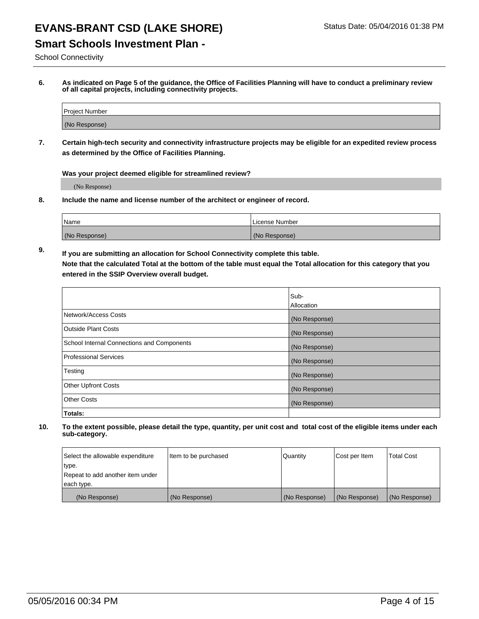#### **Smart Schools Investment Plan -**

School Connectivity

**6. As indicated on Page 5 of the guidance, the Office of Facilities Planning will have to conduct a preliminary review of all capital projects, including connectivity projects.**

| Project Number |  |
|----------------|--|
| (No Response)  |  |

**7. Certain high-tech security and connectivity infrastructure projects may be eligible for an expedited review process as determined by the Office of Facilities Planning.**

**Was your project deemed eligible for streamlined review?**

(No Response)

**8. Include the name and license number of the architect or engineer of record.**

| Name          | l License Number |
|---------------|------------------|
| (No Response) | (No<br>Response) |

**9. If you are submitting an allocation for School Connectivity complete this table. Note that the calculated Total at the bottom of the table must equal the Total allocation for this category that you entered in the SSIP Overview overall budget.** 

|                                            | Sub-          |
|--------------------------------------------|---------------|
|                                            | Allocation    |
| Network/Access Costs                       | (No Response) |
| <b>Outside Plant Costs</b>                 | (No Response) |
| School Internal Connections and Components | (No Response) |
| <b>Professional Services</b>               | (No Response) |
| Testing                                    | (No Response) |
| <b>Other Upfront Costs</b>                 | (No Response) |
| <b>Other Costs</b>                         | (No Response) |
| Totals:                                    |               |

| Select the allowable expenditure | Item to be purchased | Quantity      | Cost per Item | <b>Total Cost</b> |
|----------------------------------|----------------------|---------------|---------------|-------------------|
| type.                            |                      |               |               |                   |
| Repeat to add another item under |                      |               |               |                   |
| each type.                       |                      |               |               |                   |
| (No Response)                    | (No Response)        | (No Response) | (No Response) | (No Response)     |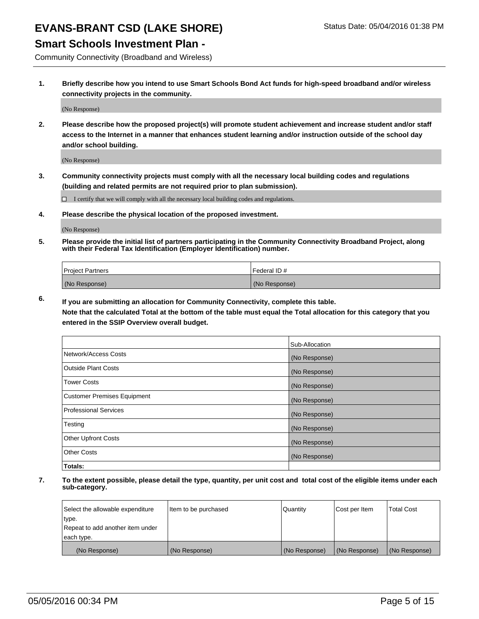**Smart Schools Investment Plan -**

Community Connectivity (Broadband and Wireless)

**1. Briefly describe how you intend to use Smart Schools Bond Act funds for high-speed broadband and/or wireless connectivity projects in the community.**

(No Response)

**2. Please describe how the proposed project(s) will promote student achievement and increase student and/or staff access to the Internet in a manner that enhances student learning and/or instruction outside of the school day and/or school building.**

(No Response)

**3. Community connectivity projects must comply with all the necessary local building codes and regulations (building and related permits are not required prior to plan submission).**

 $\Box$  I certify that we will comply with all the necessary local building codes and regulations.

**4. Please describe the physical location of the proposed investment.**

(No Response)

**5. Please provide the initial list of partners participating in the Community Connectivity Broadband Project, along with their Federal Tax Identification (Employer Identification) number.**

| <b>Project Partners</b> | <b>IFederal ID#</b> |
|-------------------------|---------------------|
| (No Response)           | (No Response)       |

**6. If you are submitting an allocation for Community Connectivity, complete this table.**

**Note that the calculated Total at the bottom of the table must equal the Total allocation for this category that you entered in the SSIP Overview overall budget.**

|                                    | Sub-Allocation |
|------------------------------------|----------------|
| Network/Access Costs               | (No Response)  |
| Outside Plant Costs                | (No Response)  |
| Tower Costs                        | (No Response)  |
| <b>Customer Premises Equipment</b> | (No Response)  |
| Professional Services              | (No Response)  |
| Testing                            | (No Response)  |
| <b>Other Upfront Costs</b>         | (No Response)  |
| Other Costs                        | (No Response)  |
| Totals:                            |                |

| Select the allowable expenditure | ltem to be purchased | Quantity      | Cost per Item | <b>Total Cost</b> |
|----------------------------------|----------------------|---------------|---------------|-------------------|
| type.                            |                      |               |               |                   |
| Repeat to add another item under |                      |               |               |                   |
| each type.                       |                      |               |               |                   |
| (No Response)                    | (No Response)        | (No Response) | (No Response) | (No Response)     |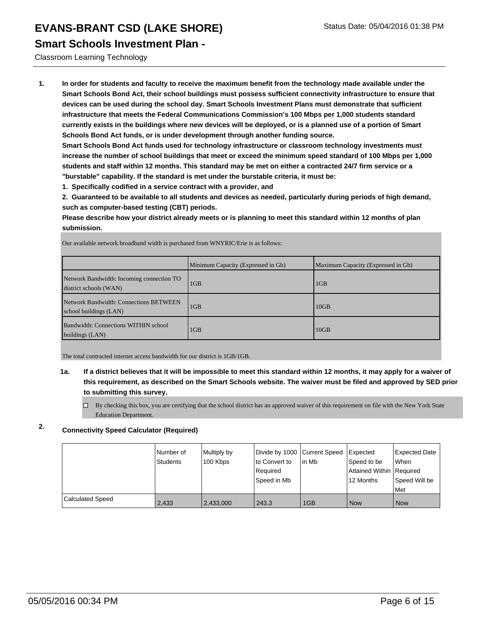#### **Smart Schools Investment Plan -**

Classroom Learning Technology

**1. In order for students and faculty to receive the maximum benefit from the technology made available under the Smart Schools Bond Act, their school buildings must possess sufficient connectivity infrastructure to ensure that devices can be used during the school day. Smart Schools Investment Plans must demonstrate that sufficient infrastructure that meets the Federal Communications Commission's 100 Mbps per 1,000 students standard currently exists in the buildings where new devices will be deployed, or is a planned use of a portion of Smart Schools Bond Act funds, or is under development through another funding source.**

**Smart Schools Bond Act funds used for technology infrastructure or classroom technology investments must increase the number of school buildings that meet or exceed the minimum speed standard of 100 Mbps per 1,000 students and staff within 12 months. This standard may be met on either a contracted 24/7 firm service or a "burstable" capability. If the standard is met under the burstable criteria, it must be:**

**1. Specifically codified in a service contract with a provider, and**

**2. Guaranteed to be available to all students and devices as needed, particularly during periods of high demand, such as computer-based testing (CBT) periods.**

**Please describe how your district already meets or is planning to meet this standard within 12 months of plan submission.**

Minimum Capacity (Expressed in Gb) Maximum Capacity (Expressed in Gb) Network Bandwidth: Incoming connection TO district schools (WAN) 1GB 1GB Network Bandwidth: Connections BETWEEN school buildings (LAN) 1GB 10GB Bandwidth: Connections WITHIN school buildings (LAN) 1GB 10GB

Our available network broadband width is purchased from WNYRIC/Erie is as follows:

The total contracted internet access bandwidth for our district is 1GB/1GB.

- **1a. If a district believes that it will be impossible to meet this standard within 12 months, it may apply for a waiver of this requirement, as described on the Smart Schools website. The waiver must be filed and approved by SED prior to submitting this survey.**
	- $\Box$  By checking this box, you are certifying that the school district has an approved waiver of this requirement on file with the New York State Education Department.

#### **2. Connectivity Speed Calculator (Required)**

|                         | l Number of<br><b>Students</b> | Multiply by<br>100 Kbps | Divide by 1000 Current Speed<br>lto Convert to<br>Reauired<br>Speed in Mb | lin Mb | Expected<br>Speed to be<br>Attained Within Required<br>12 Months | Expected Date<br><b>When</b><br>Speed Will be<br>l Met |
|-------------------------|--------------------------------|-------------------------|---------------------------------------------------------------------------|--------|------------------------------------------------------------------|--------------------------------------------------------|
| <b>Calculated Speed</b> | 2,433                          | 2,433,000               | 243.3                                                                     | 1GB    | <b>Now</b>                                                       | l Now                                                  |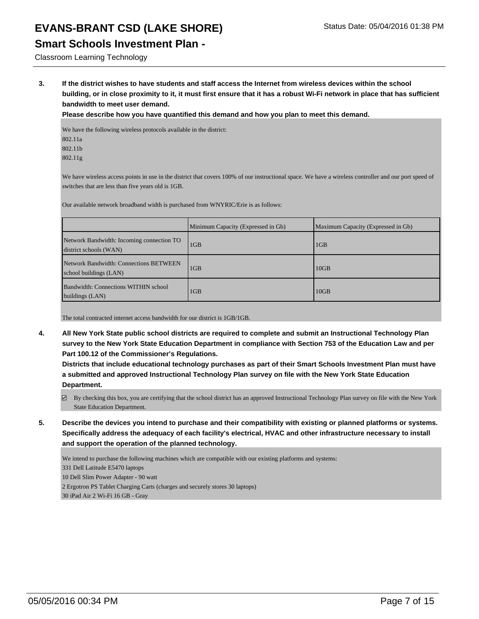#### **Smart Schools Investment Plan -**

#### Classroom Learning Technology

**3. If the district wishes to have students and staff access the Internet from wireless devices within the school building, or in close proximity to it, it must first ensure that it has a robust Wi-Fi network in place that has sufficient bandwidth to meet user demand.**

**Please describe how you have quantified this demand and how you plan to meet this demand.**

We have the following wireless protocols available in the district: 802.11a 802.11b 802.11g

We have wireless access points in use in the district that covers 100% of our instructional space. We have a wireless controller and our port speed of switches that are less than five years old is 1GB.

Our available network broadband width is purchased from WNYRIC/Erie is as follows:

|                                                                     | Minimum Capacity (Expressed in Gb) | Maximum Capacity (Expressed in Gb) |
|---------------------------------------------------------------------|------------------------------------|------------------------------------|
| Network Bandwidth: Incoming connection TO<br>district schools (WAN) | 1 <sub>GB</sub>                    | 1GB                                |
| Network Bandwidth: Connections BETWEEN<br>school buildings (LAN)    | 1 <sub>GB</sub>                    | 10GB                               |
| Bandwidth: Connections WITHIN school<br>buildings (LAN)             | 1GB                                | 10GB                               |

The total contracted internet access bandwidth for our district is 1GB/1GB.

**4. All New York State public school districts are required to complete and submit an Instructional Technology Plan survey to the New York State Education Department in compliance with Section 753 of the Education Law and per Part 100.12 of the Commissioner's Regulations.**

**Districts that include educational technology purchases as part of their Smart Schools Investment Plan must have a submitted and approved Instructional Technology Plan survey on file with the New York State Education Department.**

- By checking this box, you are certifying that the school district has an approved Instructional Technology Plan survey on file with the New York State Education Department.
- **5. Describe the devices you intend to purchase and their compatibility with existing or planned platforms or systems. Specifically address the adequacy of each facility's electrical, HVAC and other infrastructure necessary to install and support the operation of the planned technology.**

We intend to purchase the following machines which are compatible with our existing platforms and systems:

331 Dell Latitude E5470 laptops

10 Dell Slim Power Adapter - 90 watt

2 Ergotron PS Tablet Charging Carts (charges and securely stores 30 laptops)

30 iPad Air 2 Wi-Fi 16 GB - Gray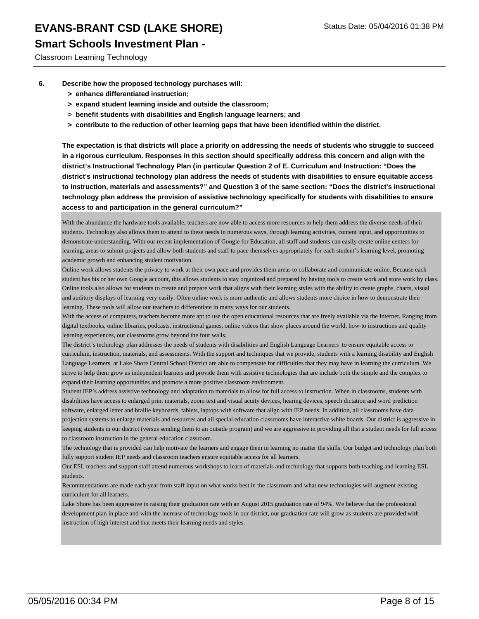#### **Smart Schools Investment Plan -**

Classroom Learning Technology

- **6. Describe how the proposed technology purchases will:**
	- **> enhance differentiated instruction;**
	- **> expand student learning inside and outside the classroom;**
	- **> benefit students with disabilities and English language learners; and**
	- **> contribute to the reduction of other learning gaps that have been identified within the district.**

**The expectation is that districts will place a priority on addressing the needs of students who struggle to succeed in a rigorous curriculum. Responses in this section should specifically address this concern and align with the district's Instructional Technology Plan (in particular Question 2 of E. Curriculum and Instruction: "Does the district's instructional technology plan address the needs of students with disabilities to ensure equitable access to instruction, materials and assessments?" and Question 3 of the same section: "Does the district's instructional technology plan address the provision of assistive technology specifically for students with disabilities to ensure access to and participation in the general curriculum?"**

With the abundance the hardware tools available, teachers are now able to access more resources to help them address the diverse needs of their students. Technology also allows them to attend to these needs in numerous ways, through learning activities, content input, and opportunities to demonstrate understanding. With our recent implementation of Google for Education, all staff and students can easily create online centers for learning, areas to submit projects and allow both students and staff to pace themselves appropriately for each student's learning level, promoting academic growth and enhancing student motivation.

Online work allows students the privacy to work at their own pace and provides them areas to collaborate and communicate online. Because each student has his or her own Google account, this allows students to stay organized and prepared by having tools to create work and store work by class. Online tools also allows for students to create and prepare work that aligns with their learning styles with the ability to create graphs, charts, visual and auditory displays of learning very easily. Often online work is more authentic and allows students more choice in how to demonstrate their learning. These tools will allow our teachers to differentiate in many ways for our students.

With the access of computers, teachers become more apt to use the open educational resources that are freely available via the Internet. Ranging from digital textbooks, online libraries, podcasts, instructional games, online videos that show places around the world, how-to instructions and quality learning experiences, our classrooms grow beyond the four walls.

The district's technology plan addresses the needs of students with disabilities and English Language Learners to ensure equitable access to curriculum, instruction, materials, and assessments. With the support and techniques that we provide, students with a learning disability and English Language Learners at Lake Shore Central School District are able to compensate for difficulties that they may have in learning the curriculum. We strive to help them grow as independent learners and provide them with assistive technologies that are include both the simple and the complex to expand their learning opportunities and promote a more positive classroom environment.

Student IEP's address assistive technology and adaptation to materials to allow for full access to instruction. When in classrooms, students with disabilities have access to enlarged print materials, zoom text and visual acuity devices, hearing devices, speech dictation and word prediction software, enlarged letter and braille keyboards, tablets, laptops with software that align with IEP needs. In addition, all classrooms have data projection systems to enlarge materials and resources and all special education classrooms have interactive white boards. Our district is aggressive in keeping students in our district (versus sending them to an outside program) and we are aggressive in providing all that a student needs for full access to classroom instruction in the general education classroom.

The technology that is provided can help motivate the learners and engage them in learning no matter the skills. Our budget and technology plan both fully support student IEP needs and classroom teachers ensure equitable access for all learners.

Our ESL teachers and support staff attend numerous workshops to learn of materials and technology that supports both teaching and learning ESL students.

Recommendations are made each year from staff input on what works best in the classroom and what new technologies will augment existing curriculum for all learners.

Lake Shore has been aggressive in raising their graduation rate with an August 2015 graduation rate of 94%. We believe that the professional development plan in place and with the increase of technology tools in our district, our graduation rate will grow as students are provided with instruction of high interest and that meets their learning needs and styles.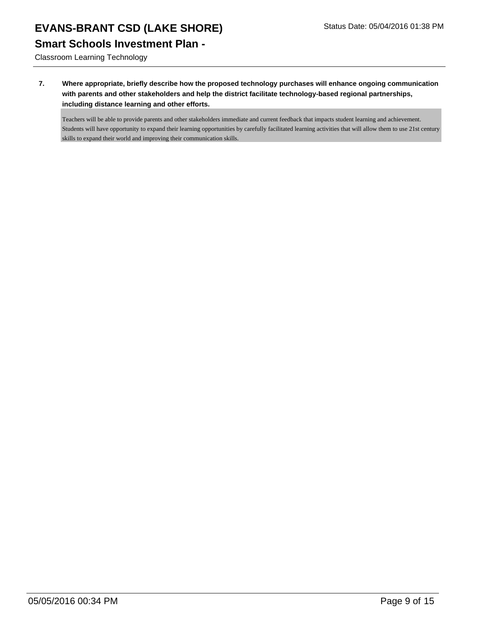**Smart Schools Investment Plan -**

Classroom Learning Technology

**7. Where appropriate, briefly describe how the proposed technology purchases will enhance ongoing communication with parents and other stakeholders and help the district facilitate technology-based regional partnerships, including distance learning and other efforts.**

Teachers will be able to provide parents and other stakeholders immediate and current feedback that impacts student learning and achievement. Students will have opportunity to expand their learning opportunities by carefully facilitated learning activities that will allow them to use 21st century skills to expand their world and improving their communication skills.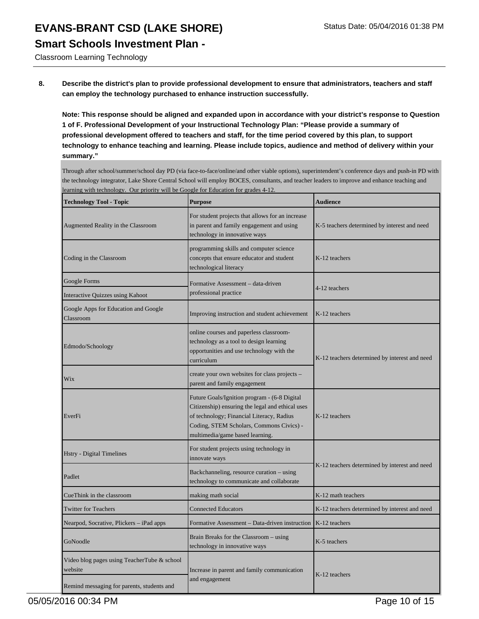## **EVANS-BRANT CSD (LAKE SHORE)** Status Date: 05/04/2016 01:38 PM **Smart Schools Investment Plan -**

Classroom Learning Technology

**8. Describe the district's plan to provide professional development to ensure that administrators, teachers and staff can employ the technology purchased to enhance instruction successfully.**

**Note: This response should be aligned and expanded upon in accordance with your district's response to Question 1 of F. Professional Development of your Instructional Technology Plan: "Please provide a summary of professional development offered to teachers and staff, for the time period covered by this plan, to support technology to enhance teaching and learning. Please include topics, audience and method of delivery within your summary."**

Through after school/summer/school day PD (via face-to-face/online/and other viable options), superintendent's conference days and push-in PD with the technology integrator, Lake Shore Central School will employ BOCES, consultants, and teacher leaders to improve and enhance teaching and learning with technology. Our priority will be Google for Education for grades 4-12.

| <b>Technology Tool - Topic</b>                         | <b>Purpose</b>                                                                                                                                                                                                               | <b>Audience</b>                               |  |
|--------------------------------------------------------|------------------------------------------------------------------------------------------------------------------------------------------------------------------------------------------------------------------------------|-----------------------------------------------|--|
| Augmented Reality in the Classroom                     | For student projects that allows for an increase<br>in parent and family engagement and using<br>technology in innovative ways                                                                                               | K-5 teachers determined by interest and need  |  |
| Coding in the Classroom                                | programming skills and computer science<br>concepts that ensure educator and student<br>technological literacy                                                                                                               | K-12 teachers                                 |  |
| Google Forms                                           | Formative Assessment - data-driven                                                                                                                                                                                           | 4-12 teachers                                 |  |
| Interactive Quizzes using Kahoot                       | professional practice                                                                                                                                                                                                        |                                               |  |
| Google Apps for Education and Google<br>Classroom      | Improving instruction and student achievement                                                                                                                                                                                | K-12 teachers                                 |  |
| Edmodo/Schoology                                       | online courses and paperless classroom-<br>technology as a tool to design learning<br>opportunities and use technology with the<br>curriculum                                                                                | K-12 teachers determined by interest and need |  |
| Wix                                                    | create your own websites for class projects -<br>parent and family engagement                                                                                                                                                |                                               |  |
| EverFi                                                 | Future Goals/Ignition program - (6-8 Digital<br>Citizenship) ensuring the legal and ethical uses<br>of technology; Financial Literacy, Radius<br>Coding, STEM Scholars, Commons Civics) -<br>multimedia/game based learning. | K-12 teachers                                 |  |
| Hstry - Digital Timelines                              | For student projects using technology in<br>innovate ways                                                                                                                                                                    |                                               |  |
| Padlet                                                 | Backchanneling, resource curation – using<br>technology to communicate and collaborate                                                                                                                                       | K-12 teachers determined by interest and need |  |
| CueThink in the classroom                              | making math social                                                                                                                                                                                                           | K-12 math teachers                            |  |
| <b>Twitter for Teachers</b>                            | <b>Connected Educators</b>                                                                                                                                                                                                   | K-12 teachers determined by interest and need |  |
| Nearpod, Socrative, Plickers - iPad apps               | Formative Assessment - Data-driven instruction                                                                                                                                                                               | K-12 teachers                                 |  |
| GoNoodle                                               | Brain Breaks for the Classroom – using<br>technology in innovative ways                                                                                                                                                      | K-5 teachers                                  |  |
| Video blog pages using TeacherTube & school<br>website | Increase in parent and family communication<br>and engagement                                                                                                                                                                | K-12 teachers                                 |  |
| Remind messaging for parents, students and             |                                                                                                                                                                                                                              |                                               |  |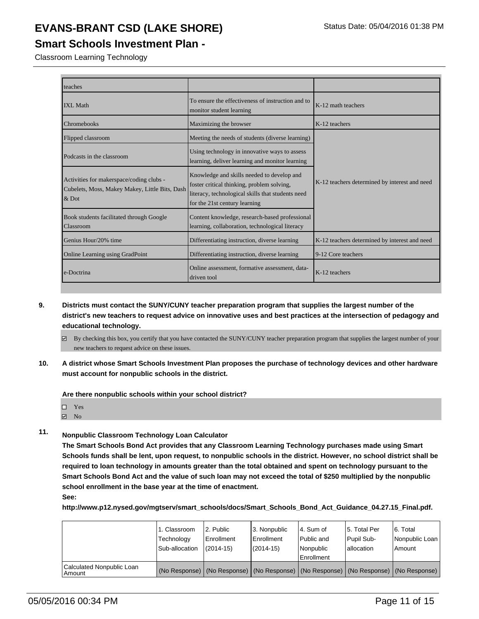#### **Smart Schools Investment Plan -**

Classroom Learning Technology

| teaches                                                                                             |                                                                                                                                                                                |                                               |
|-----------------------------------------------------------------------------------------------------|--------------------------------------------------------------------------------------------------------------------------------------------------------------------------------|-----------------------------------------------|
| <b>IXL Math</b>                                                                                     | To ensure the effectiveness of instruction and to<br>monitor student learning                                                                                                  | K-12 math teachers                            |
| Chromebooks                                                                                         | Maximizing the browser                                                                                                                                                         | K-12 teachers                                 |
| Flipped classroom                                                                                   | Meeting the needs of students (diverse learning)                                                                                                                               |                                               |
| Podcasts in the classroom                                                                           | Using technology in innovative ways to assess<br>learning, deliver learning and monitor learning                                                                               |                                               |
| Activities for makerspace/coding clubs -<br>Cubelets, Moss, Makey Makey, Little Bits, Dash<br>& Dot | Knowledge and skills needed to develop and<br>foster critical thinking, problem solving,<br>literacy, technological skills that students need<br>for the 21st century learning | K-12 teachers determined by interest and need |
| Book students facilitated through Google<br>Classroom                                               | Content knowledge, research-based professional<br>learning, collaboration, technological literacy                                                                              |                                               |
| Genius Hour/20% time                                                                                | Differentiating instruction, diverse learning                                                                                                                                  | K-12 teachers determined by interest and need |
| Online Learning using GradPoint                                                                     | Differentiating instruction, diverse learning                                                                                                                                  | 9-12 Core teachers                            |
| e-Doctrina                                                                                          | Online assessment, formative assessment, data-<br>driven tool                                                                                                                  | K-12 teachers                                 |

- **9. Districts must contact the SUNY/CUNY teacher preparation program that supplies the largest number of the district's new teachers to request advice on innovative uses and best practices at the intersection of pedagogy and educational technology.**
	- $\boxtimes$  By checking this box, you certify that you have contacted the SUNY/CUNY teacher preparation program that supplies the largest number of your new teachers to request advice on these issues.
- **10. A district whose Smart Schools Investment Plan proposes the purchase of technology devices and other hardware must account for nonpublic schools in the district.**

**Are there nonpublic schools within your school district?**

| п | Yes |  |
|---|-----|--|
|   |     |  |

No

#### **11. Nonpublic Classroom Technology Loan Calculator**

**The Smart Schools Bond Act provides that any Classroom Learning Technology purchases made using Smart Schools funds shall be lent, upon request, to nonpublic schools in the district. However, no school district shall be required to loan technology in amounts greater than the total obtained and spent on technology pursuant to the Smart Schools Bond Act and the value of such loan may not exceed the total of \$250 multiplied by the nonpublic school enrollment in the base year at the time of enactment. See:**

**http://www.p12.nysed.gov/mgtserv/smart\_schools/docs/Smart\_Schools\_Bond\_Act\_Guidance\_04.27.15\_Final.pdf.**

|                                     | 1. Classroom<br>Technology<br>Sub-allocation | 12. Public<br><b>Enrollment</b><br>$(2014 - 15)$                                              | l 3. Nonpublic<br>l Enrollment<br>$(2014 - 15)$ | 4. Sum of<br>l Public and<br>Nonpublic<br>Enrollment | 15. Total Per<br>Pupil Sub-<br>lallocation | 6. Total<br>Nonpublic Loan<br>l Amount |
|-------------------------------------|----------------------------------------------|-----------------------------------------------------------------------------------------------|-------------------------------------------------|------------------------------------------------------|--------------------------------------------|----------------------------------------|
| Calculated Nonpublic Loan<br>Amount |                                              | (No Response)   (No Response)   (No Response)   (No Response)   (No Response)   (No Response) |                                                 |                                                      |                                            |                                        |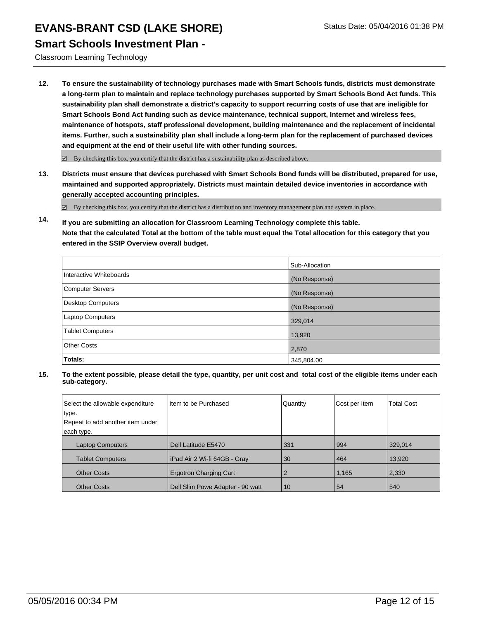#### **Smart Schools Investment Plan -**

Classroom Learning Technology

**12. To ensure the sustainability of technology purchases made with Smart Schools funds, districts must demonstrate a long-term plan to maintain and replace technology purchases supported by Smart Schools Bond Act funds. This sustainability plan shall demonstrate a district's capacity to support recurring costs of use that are ineligible for Smart Schools Bond Act funding such as device maintenance, technical support, Internet and wireless fees, maintenance of hotspots, staff professional development, building maintenance and the replacement of incidental items. Further, such a sustainability plan shall include a long-term plan for the replacement of purchased devices and equipment at the end of their useful life with other funding sources.**

 $\boxdot$  By checking this box, you certify that the district has a sustainability plan as described above.

**13. Districts must ensure that devices purchased with Smart Schools Bond funds will be distributed, prepared for use, maintained and supported appropriately. Districts must maintain detailed device inventories in accordance with generally accepted accounting principles.**

By checking this box, you certify that the district has a distribution and inventory management plan and system in place.

**14. If you are submitting an allocation for Classroom Learning Technology complete this table. Note that the calculated Total at the bottom of the table must equal the Total allocation for this category that you entered in the SSIP Overview overall budget.**

|                          | Sub-Allocation |
|--------------------------|----------------|
| Interactive Whiteboards  | (No Response)  |
| <b>Computer Servers</b>  | (No Response)  |
| <b>Desktop Computers</b> | (No Response)  |
| Laptop Computers         | 329,014        |
| <b>Tablet Computers</b>  | 13,920         |
| <b>Other Costs</b>       | 2,870          |
| Totals:                  | 345,804.00     |

| Select the allowable expenditure | I Item to be Purchased           | Quantity | Cost per Item | <b>Total Cost</b> |
|----------------------------------|----------------------------------|----------|---------------|-------------------|
| type.                            |                                  |          |               |                   |
| Repeat to add another item under |                                  |          |               |                   |
| each type.                       |                                  |          |               |                   |
| <b>Laptop Computers</b>          | Dell Latitude E5470              | 331      | 994           | 329,014           |
| <b>Tablet Computers</b>          | l iPad Air 2 Wi-fi 64GB - Gray   | 30       | 464           | 13,920            |
| <b>Other Costs</b>               | <b>Ergotron Charging Cart</b>    |          | 1,165         | 2,330             |
| <b>Other Costs</b>               | Dell Slim Powe Adapter - 90 watt | 10       | 54            | 540               |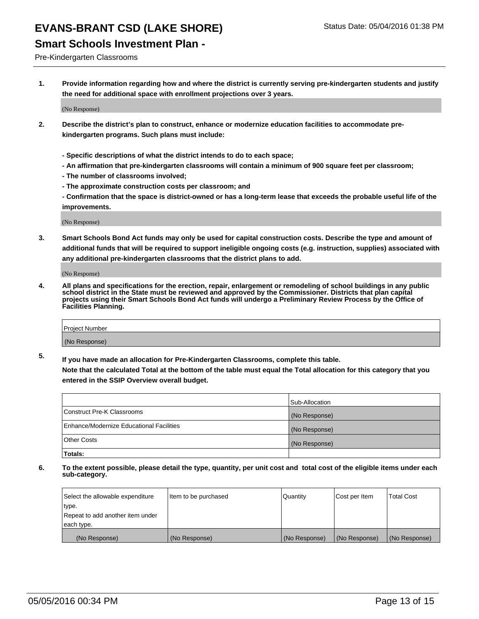#### **Smart Schools Investment Plan -**

Pre-Kindergarten Classrooms

**1. Provide information regarding how and where the district is currently serving pre-kindergarten students and justify the need for additional space with enrollment projections over 3 years.**

(No Response)

- **2. Describe the district's plan to construct, enhance or modernize education facilities to accommodate prekindergarten programs. Such plans must include:**
	- **Specific descriptions of what the district intends to do to each space;**
	- **An affirmation that pre-kindergarten classrooms will contain a minimum of 900 square feet per classroom;**
	- **The number of classrooms involved;**
	- **The approximate construction costs per classroom; and**
	- **Confirmation that the space is district-owned or has a long-term lease that exceeds the probable useful life of the improvements.**

(No Response)

**3. Smart Schools Bond Act funds may only be used for capital construction costs. Describe the type and amount of additional funds that will be required to support ineligible ongoing costs (e.g. instruction, supplies) associated with any additional pre-kindergarten classrooms that the district plans to add.**

(No Response)

**4. All plans and specifications for the erection, repair, enlargement or remodeling of school buildings in any public school district in the State must be reviewed and approved by the Commissioner. Districts that plan capital projects using their Smart Schools Bond Act funds will undergo a Preliminary Review Process by the Office of Facilities Planning.**

| Project Number |  |
|----------------|--|
| (No Response)  |  |

**5. If you have made an allocation for Pre-Kindergarten Classrooms, complete this table. Note that the calculated Total at the bottom of the table must equal the Total allocation for this category that you**

**entered in the SSIP Overview overall budget.**

|                                          | Sub-Allocation |
|------------------------------------------|----------------|
| Construct Pre-K Classrooms               | (No Response)  |
| Enhance/Modernize Educational Facilities | (No Response)  |
| Other Costs                              | (No Response)  |
| Totals:                                  |                |

| Select the allowable expenditure | Item to be purchased | Quantity      | Cost per Item | <b>Total Cost</b> |
|----------------------------------|----------------------|---------------|---------------|-------------------|
| type.                            |                      |               |               |                   |
| Repeat to add another item under |                      |               |               |                   |
| each type.                       |                      |               |               |                   |
| (No Response)                    | (No Response)        | (No Response) | (No Response) | (No Response)     |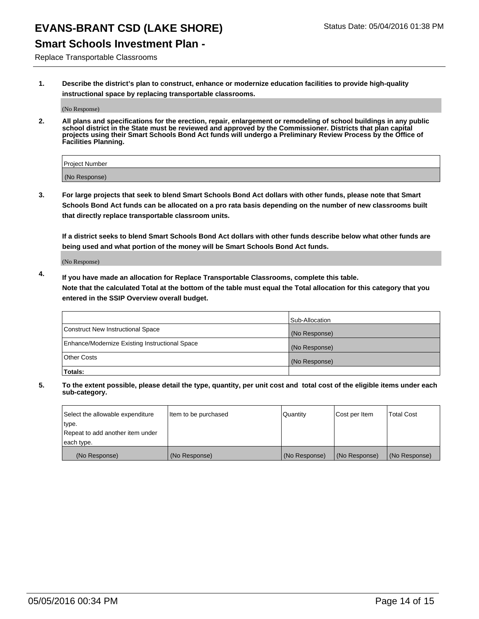## **Smart Schools Investment Plan -**

Replace Transportable Classrooms

**1. Describe the district's plan to construct, enhance or modernize education facilities to provide high-quality instructional space by replacing transportable classrooms.**

(No Response)

**2. All plans and specifications for the erection, repair, enlargement or remodeling of school buildings in any public school district in the State must be reviewed and approved by the Commissioner. Districts that plan capital projects using their Smart Schools Bond Act funds will undergo a Preliminary Review Process by the Office of Facilities Planning.**

| Project Number |  |
|----------------|--|
| (No Response)  |  |

**3. For large projects that seek to blend Smart Schools Bond Act dollars with other funds, please note that Smart Schools Bond Act funds can be allocated on a pro rata basis depending on the number of new classrooms built that directly replace transportable classroom units.**

**If a district seeks to blend Smart Schools Bond Act dollars with other funds describe below what other funds are being used and what portion of the money will be Smart Schools Bond Act funds.**

(No Response)

**4. If you have made an allocation for Replace Transportable Classrooms, complete this table. Note that the calculated Total at the bottom of the table must equal the Total allocation for this category that you entered in the SSIP Overview overall budget.**

|                                                | Sub-Allocation |
|------------------------------------------------|----------------|
| Construct New Instructional Space              | (No Response)  |
| Enhance/Modernize Existing Instructional Space | (No Response)  |
| <b>Other Costs</b>                             | (No Response)  |
| Totals:                                        |                |

| Select the allowable expenditure | Item to be purchased | <b>Quantity</b> | Cost per Item | <b>Total Cost</b> |
|----------------------------------|----------------------|-----------------|---------------|-------------------|
| type.                            |                      |                 |               |                   |
| Repeat to add another item under |                      |                 |               |                   |
| each type.                       |                      |                 |               |                   |
| (No Response)                    | (No Response)        | (No Response)   | (No Response) | (No Response)     |